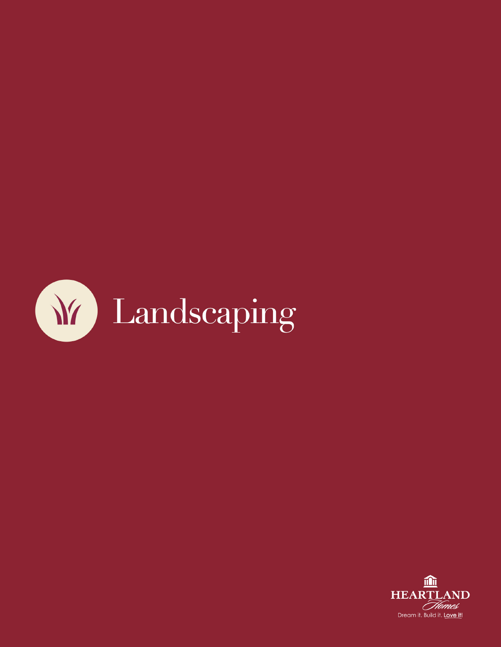

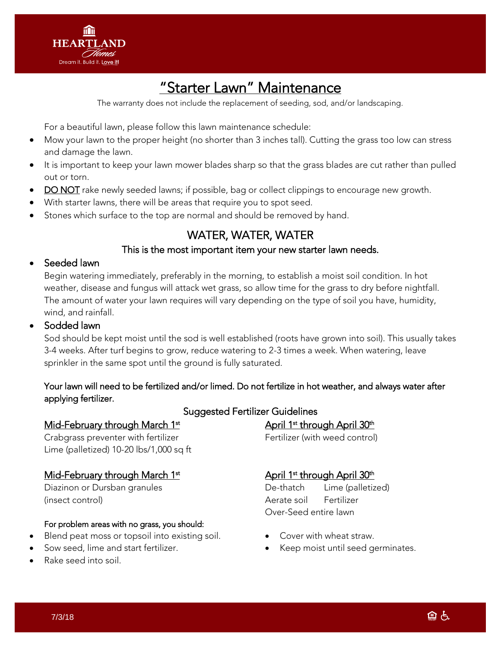

### "Starter Lawn" Maintenance

The warranty does not include the replacement of seeding, sod, and/or landscaping.

For a beautiful lawn, please follow this lawn maintenance schedule:

- Mow your lawn to the proper height (no shorter than 3 inches tall). Cutting the grass too low can stress and damage the lawn.
- It is important to keep your lawn mower blades sharp so that the grass blades are cut rather than pulled out or torn.
- DO NOT rake newly seeded lawns; if possible, bag or collect clippings to encourage new growth.
- With starter lawns, there will be areas that require you to spot seed.
- Stones which surface to the top are normal and should be removed by hand.

### WATER, WATER, WATER

#### This is the most important item your new starter lawn needs.

#### Seeded lawn

Begin watering immediately, preferably in the morning, to establish a moist soil condition. In hot weather, disease and fungus will attack wet grass, so allow time for the grass to dry before nightfall. The amount of water your lawn requires will vary depending on the type of soil you have, humidity, wind, and rainfall.

#### Sodded lawn

Sod should be kept moist until the sod is well established (roots have grown into soil). This usually takes 3-4 weeks. After turf begins to grow, reduce watering to 2-3 times a week. When watering, leave sprinkler in the same spot until the ground is fully saturated.

#### Your lawn will need to be fertilized and/or limed. Do not fertilize in hot weather, and always water after applying fertilizer.

#### Mid-February through March 1<sup>st</sup>

Crabgrass preventer with fertilizer **Fertilizer** Fertilizer (with weed control) Lime (palletized) 10-20 lbs/1,000 sq ft

#### Mid-February through March 1<sup>st</sup>

(insect control) Aerate soil Fertilizer

#### For problem areas with no grass, you should:

- Blend peat moss or topsoil into existing soil.
- Sow seed, lime and start fertilizer.
- Rake seed into soil.

#### Suggested Fertilizer Guidelines

April 1<sup>st</sup> through April 30<sup>th</sup>

#### April 1<sup>st</sup> through April 30<sup>th</sup>

Diazinon or Dursban granules and the Control of the Unit De-thatch Lime (palletized) Over-Seed entire lawn

- Cover with wheat straw.
- Keep moist until seed germinates.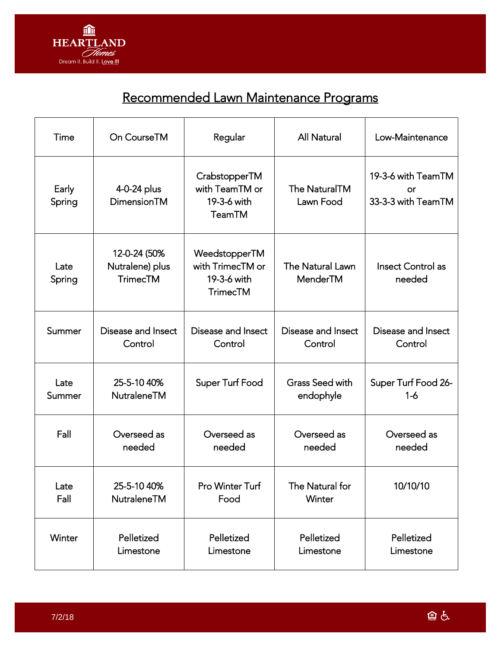

### Recommended Lawn Maintenance Programs

| Time            | On CourseTM                                        | Regular                                                             | <b>All Natural</b>                  | Low-Maintenance                                |
|-----------------|----------------------------------------------------|---------------------------------------------------------------------|-------------------------------------|------------------------------------------------|
| Early<br>Spring | 4-0-24 plus<br>DimensionTM                         | CrabstopperTM<br>with TeamTM or<br>19-3-6 with<br><b>TeamTM</b>     | <b>The NaturalTM</b><br>Lawn Food   | 19-3-6 with TeamTM<br>or<br>33-3-3 with TeamTM |
| Late<br>Spring  | 12-0-24 (50%<br>Nutralene) plus<br><b>TrimecTM</b> | WeedstopperTM<br>with TrimecTM or<br>19-3-6 with<br><b>TrimecTM</b> | <b>The Natural Lawn</b><br>MenderTM | <b>Insect Control as</b><br>needed             |
| Summer          | Disease and Insect                                 | Disease and Insect                                                  | Disease and Insect                  | Disease and Insect                             |
|                 | Control                                            | Control                                                             | Control                             | Control                                        |
| Late            | 25-5-10 40%                                        | Super Turf Food                                                     | <b>Grass Seed with</b>              | Super Turf Food 26-                            |
| Summer          | NutraleneTM                                        |                                                                     | endophyle                           | $1 - 6$                                        |
| Fall            | Overseed as                                        | Overseed as                                                         | Overseed as                         | Overseed as                                    |
|                 | needed                                             | needed                                                              | needed                              | needed                                         |
| Late            | 25-5-10 40%                                        | Pro Winter Turf                                                     | The Natural for                     | 10/10/10                                       |
| Fall            | NutraleneTM                                        | Food                                                                | Winter                              |                                                |
| Winter          | Pelletized                                         | Pelletized                                                          | Pelletized                          | Pelletized                                     |
|                 | Limestone                                          | Limestone                                                           | Limestone                           | Limestone                                      |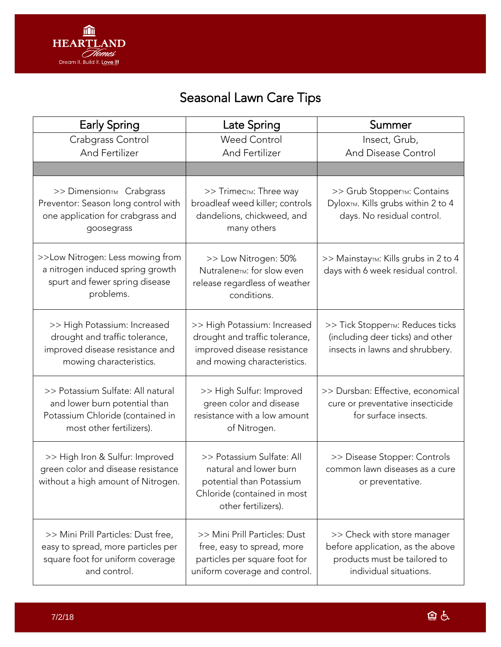

# Seasonal Lawn Care Tips

| <b>Early Spring</b>                                                                                                                | Late Spring                                                                                                                           | Summer                                                                                                                    |
|------------------------------------------------------------------------------------------------------------------------------------|---------------------------------------------------------------------------------------------------------------------------------------|---------------------------------------------------------------------------------------------------------------------------|
| Crabgrass Control                                                                                                                  | <b>Weed Control</b>                                                                                                                   | Insect, Grub,                                                                                                             |
| And Fertilizer                                                                                                                     | And Fertilizer                                                                                                                        | And Disease Control                                                                                                       |
|                                                                                                                                    |                                                                                                                                       |                                                                                                                           |
| >> Dimension <sub>™</sub> Crabgrass<br>Preventor: Season long control with<br>one application for crabgrass and<br>goosegrass      | >> Trimec <sub>TM</sub> : Three way<br>broadleaf weed killer; controls<br>dandelions, chickweed, and<br>many others                   | >> Grub StopperTM: Contains<br>DyloxTM. Kills grubs within 2 to 4<br>days. No residual control.                           |
| >>Low Nitrogen: Less mowing from<br>a nitrogen induced spring growth<br>spurt and fewer spring disease<br>problems.                | >> Low Nitrogen: 50%<br>Nutralene <sub>TM</sub> : for slow even<br>release regardless of weather<br>conditions.                       | >> Mainstay <sub>™</sub> : Kills grubs in 2 to 4<br>days with 6 week residual control.                                    |
| >> High Potassium: Increased<br>drought and traffic tolerance,<br>improved disease resistance and<br>mowing characteristics.       | >> High Potassium: Increased<br>drought and traffic tolerance,<br>improved disease resistance<br>and mowing characteristics.          | >> Tick Stopper <sub>TM</sub> : Reduces ticks<br>(including deer ticks) and other<br>insects in lawns and shrubbery.      |
| >> Potassium Sulfate: All natural<br>and lower burn potential than<br>Potassium Chloride (contained in<br>most other fertilizers). | >> High Sulfur: Improved<br>green color and disease<br>resistance with a low amount<br>of Nitrogen.                                   | >> Dursban: Effective, economical<br>cure or preventative insecticide<br>for surface insects.                             |
| >> High Iron & Sulfur: Improved<br>green color and disease resistance<br>without a high amount of Nitrogen.                        | >> Potassium Sulfate: All<br>natural and lower burn<br>potential than Potassium<br>Chloride (contained in most<br>other fertilizers). | >> Disease Stopper: Controls<br>common lawn diseases as a cure<br>or preventative.                                        |
| >> Mini Prill Particles: Dust free,<br>easy to spread, more particles per<br>square foot for uniform coverage<br>and control.      | >> Mini Prill Particles: Dust<br>free, easy to spread, more<br>particles per square foot for<br>uniform coverage and control.         | >> Check with store manager<br>before application, as the above<br>products must be tailored to<br>individual situations. |

鱼占